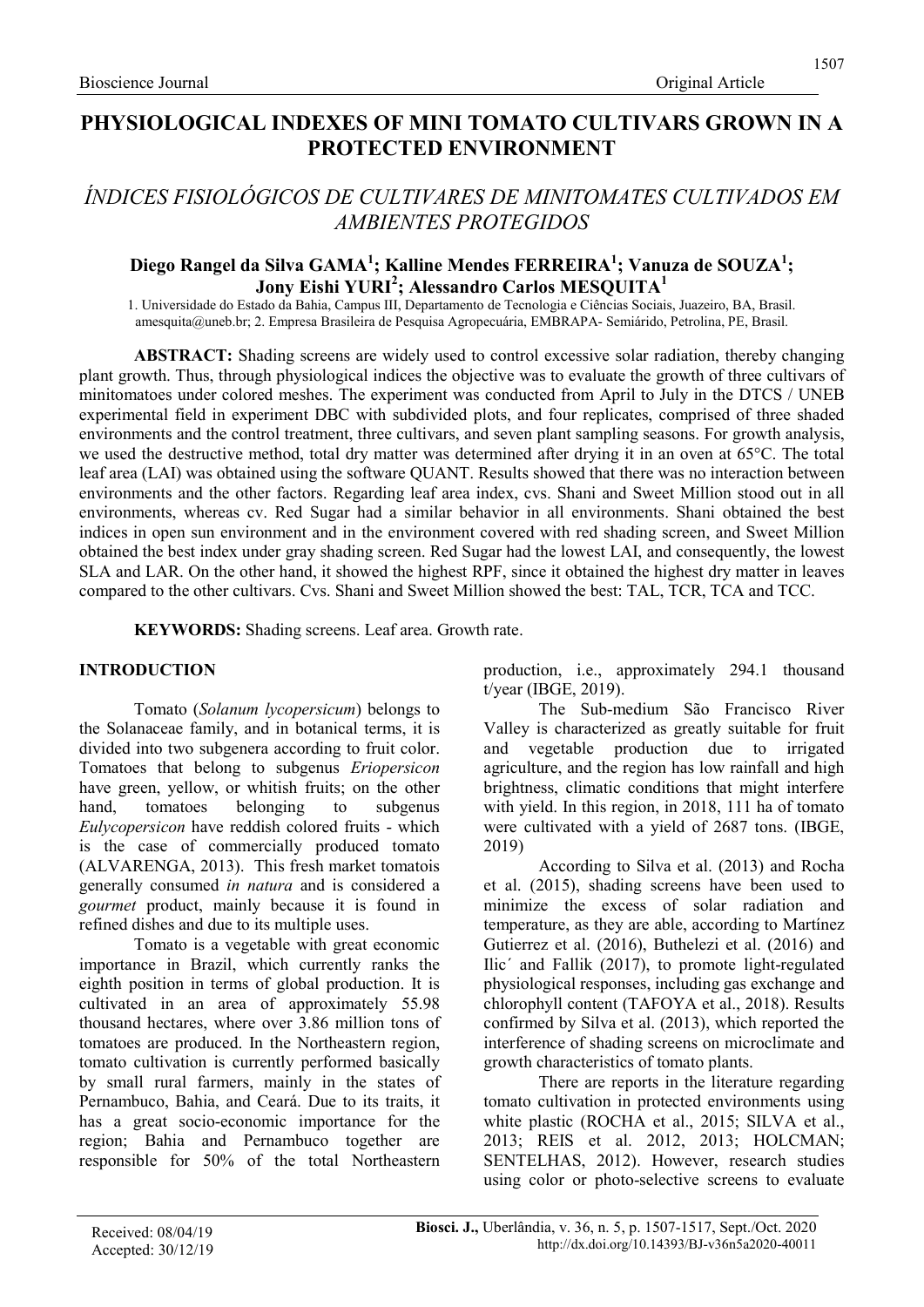# ÍNDICES FISIOLÓGICOS DE CULTIVARES DE MINITOMATES CULTIVADOS EM AMBIENTES PROTEGIDOS

## Diego Rangel da Silva GAMA<sup>1</sup>; Kalline Mendes FERREIRA<sup>1</sup>; Vanuza de SOUZA<sup>1</sup>; Jony Eishi YURI<sup>2</sup>; Alessandro Carlos MESQUITA $^{\rm 1}$

1. Universidade do Estado da Bahia, Campus III, Departamento de Tecnologia e Ciências Sociais, Juazeiro, BA, Brasil. amesquita@uneb.br; 2. Empresa Brasileira de Pesquisa Agropecuária, EMBRAPA- Semiárido, Petrolina, PE, Brasil.

ABSTRACT: Shading screens are widely used to control excessive solar radiation, thereby changing plant growth. Thus, through physiological indices the objective was to evaluate the growth of three cultivars of minitomatoes under colored meshes. The experiment was conducted from April to July in the DTCS / UNEB experimental field in experiment DBC with subdivided plots, and four replicates, comprised of three shaded environments and the control treatment, three cultivars, and seven plant sampling seasons. For growth analysis, we used the destructive method, total dry matter was determined after drying it in an oven at 65°C. The total leaf area (LAI) was obtained using the software QUANT. Results showed that there was no interaction between environments and the other factors. Regarding leaf area index, cvs. Shani and Sweet Million stood out in all environments, whereas cv. Red Sugar had a similar behavior in all environments. Shani obtained the best indices in open sun environment and in the environment covered with red shading screen, and Sweet Million obtained the best index under gray shading screen. Red Sugar had the lowest LAI, and consequently, the lowest SLA and LAR. On the other hand, it showed the highest RPF, since it obtained the highest dry matter in leaves compared to the other cultivars. Cvs. Shani and Sweet Million showed the best: TAL, TCR, TCA and TCC.

KEYWORDS: Shading screens. Leaf area. Growth rate.

#### INTRODUCTION

Tomato (Solanum lycopersicum) belongs to the Solanaceae family, and in botanical terms, it is divided into two subgenera according to fruit color. Tomatoes that belong to subgenus Eriopersicon have green, yellow, or whitish fruits; on the other hand, tomatoes belonging to subgenus Eulycopersicon have reddish colored fruits - which is the case of commercially produced tomato (ALVARENGA, 2013). This fresh market tomatois generally consumed in natura and is considered a gourmet product, mainly because it is found in refined dishes and due to its multiple uses.

Tomato is a vegetable with great economic importance in Brazil, which currently ranks the eighth position in terms of global production. It is cultivated in an area of approximately 55.98 thousand hectares, where over 3.86 million tons of tomatoes are produced. In the Northeastern region, tomato cultivation is currently performed basically by small rural farmers, mainly in the states of Pernambuco, Bahia, and Ceará. Due to its traits, it has a great socio-economic importance for the region; Bahia and Pernambuco together are responsible for 50% of the total Northeastern production, i.e., approximately 294.1 thousand t/year (IBGE, 2019).

The Sub-medium São Francisco River Valley is characterized as greatly suitable for fruit and vegetable production due to irrigated agriculture, and the region has low rainfall and high brightness, climatic conditions that might interfere with yield. In this region, in 2018, 111 ha of tomato were cultivated with a yield of 2687 tons. (IBGE, 2019)

According to Silva et al. (2013) and Rocha et al. (2015), shading screens have been used to minimize the excess of solar radiation and temperature, as they are able, according to Martínez Gutierrez et al. (2016), Buthelezi et al. (2016) and Ilic´ and Fallik (2017), to promote light-regulated physiological responses, including gas exchange and chlorophyll content (TAFOYA et al., 2018). Results confirmed by Silva et al. (2013), which reported the interference of shading screens on microclimate and growth characteristics of tomato plants.

There are reports in the literature regarding tomato cultivation in protected environments using white plastic (ROCHA et al., 2015; SILVA et al., 2013; REIS et al. 2012, 2013; HOLCMAN; SENTELHAS, 2012). However, research studies using color or photo-selective screens to evaluate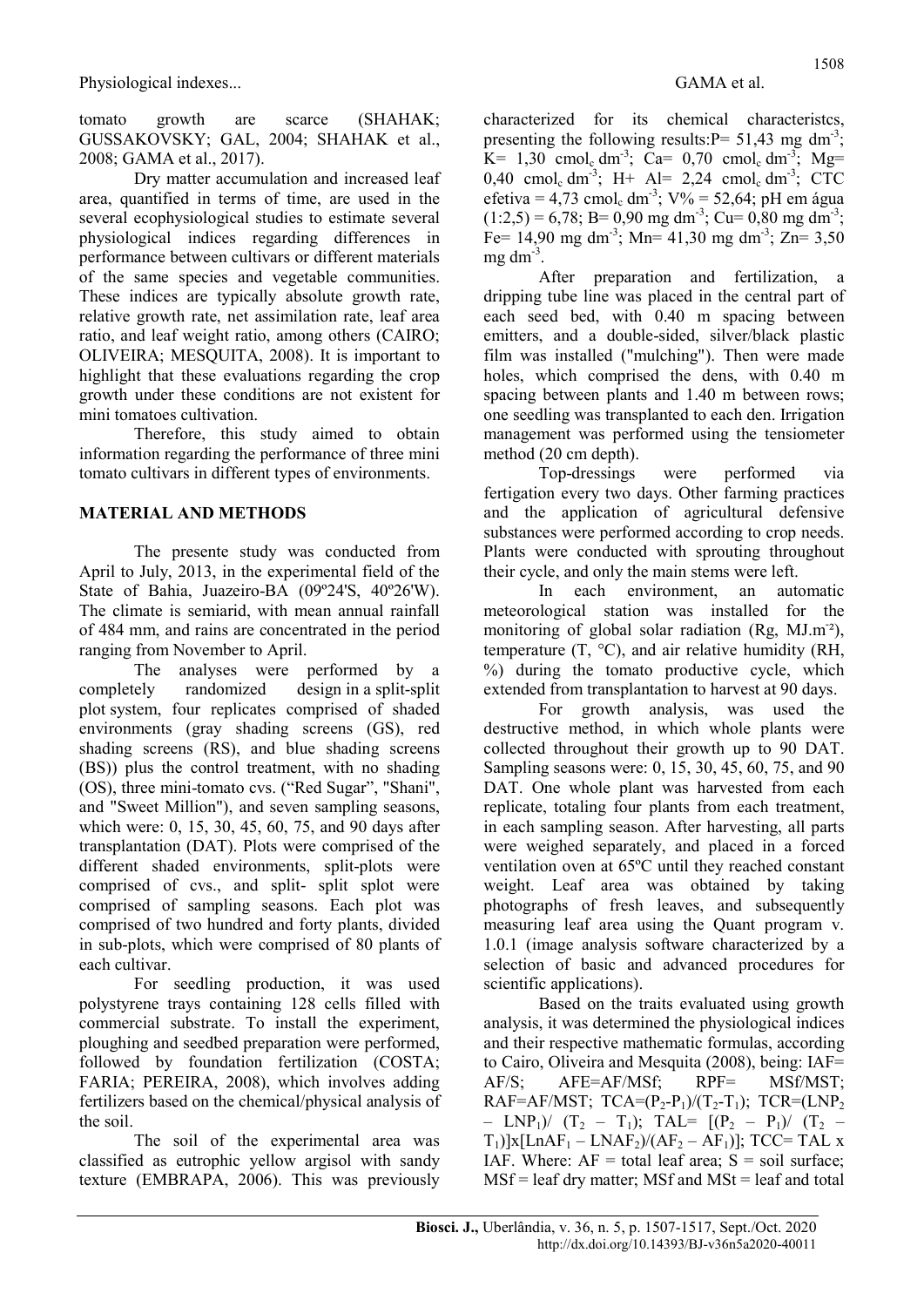tomato growth are scarce (SHAHAK; GUSSAKOVSKY; GAL, 2004; SHAHAK et al., 2008; GAMA et al., 2017).

Dry matter accumulation and increased leaf area, quantified in terms of time, are used in the several ecophysiological studies to estimate several physiological indices regarding differences in performance between cultivars or different materials of the same species and vegetable communities. These indices are typically absolute growth rate, relative growth rate, net assimilation rate, leaf area ratio, and leaf weight ratio, among others (CAIRO; OLIVEIRA; MESQUITA, 2008). It is important to highlight that these evaluations regarding the crop growth under these conditions are not existent for mini tomatoes cultivation.

Therefore, this study aimed to obtain information regarding the performance of three mini tomato cultivars in different types of environments.

### MATERIAL AND METHODS

The presente study was conducted from April to July, 2013, in the experimental field of the State of Bahia, Juazeiro-BA (09º24'S, 40º26'W). The climate is semiarid, with mean annual rainfall of 484 mm, and rains are concentrated in the period ranging from November to April.

The analyses were performed by a completely randomized design in a split-split plot system, four replicates comprised of shaded environments (gray shading screens (GS), red shading screens (RS), and blue shading screens (BS)) plus the control treatment, with no shading (OS), three mini-tomato cvs. ("Red Sugar", "Shani", and "Sweet Million"), and seven sampling seasons, which were: 0, 15, 30, 45, 60, 75, and 90 days after transplantation (DAT). Plots were comprised of the different shaded environments, split-plots were comprised of cvs., and split- split splot were comprised of sampling seasons. Each plot was comprised of two hundred and forty plants, divided in sub-plots, which were comprised of 80 plants of each cultivar.

For seedling production, it was used polystyrene trays containing 128 cells filled with commercial substrate. To install the experiment, ploughing and seedbed preparation were performed, followed by foundation fertilization (COSTA; FARIA; PEREIRA, 2008), which involves adding fertilizers based on the chemical/physical analysis of the soil.

The soil of the experimental area was classified as eutrophic yellow argisol with sandy texture (EMBRAPA, 2006). This was previously characterized for its chemical characteristcs, presenting the following results:  $P = 51,43$  mg dm<sup>-3</sup>;  $K= 1,30$  cmol<sub>c</sub> dm<sup>-3</sup>; Ca= 0,70 cmol<sub>c</sub> dm<sup>-3</sup>; Mg= 0,40 cmol<sub>c</sub> dm<sup>-3</sup>; H+ Al= 2,24 cmol<sub>c</sub> dm<sup>-3</sup>; CTC efetiva = 4,73 cmol<sub>c</sub> dm<sup>-3</sup>;  $V\%$  = 52,64; pH em água  $(1:2,5) = 6,78$ ; B= 0,90 mg dm<sup>-3</sup>; Cu= 0,80 mg dm<sup>-3</sup>; Fe= 14,90 mg dm<sup>-3</sup>; Mn= 41,30 mg dm<sup>-3</sup>; Zn= 3,50  $mg \, dm^{-3}$ .

After preparation and fertilization, a dripping tube line was placed in the central part of each seed bed, with 0.40 m spacing between emitters, and a double-sided, silver/black plastic film was installed ("mulching"). Then were made holes, which comprised the dens, with 0.40 m spacing between plants and 1.40 m between rows; one seedling was transplanted to each den. Irrigation management was performed using the tensiometer method (20 cm depth).

Top-dressings were performed via fertigation every two days. Other farming practices and the application of agricultural defensive substances were performed according to crop needs. Plants were conducted with sprouting throughout their cycle, and only the main stems were left.

In each environment, an automatic meteorological station was installed for the monitoring of global solar radiation (Rg,  $MJ.m<sup>-2</sup>$ ), temperature  $(T, \,^{\circ}C)$ , and air relative humidity (RH, %) during the tomato productive cycle, which extended from transplantation to harvest at 90 days.

For growth analysis, was used the destructive method, in which whole plants were collected throughout their growth up to 90 DAT. Sampling seasons were: 0, 15, 30, 45, 60, 75, and 90 DAT. One whole plant was harvested from each replicate, totaling four plants from each treatment, in each sampling season. After harvesting, all parts were weighed separately, and placed in a forced ventilation oven at 65ºC until they reached constant weight. Leaf area was obtained by taking photographs of fresh leaves, and subsequently measuring leaf area using the Quant program v. 1.0.1 (image analysis software characterized by a selection of basic and advanced procedures for scientific applications).

Based on the traits evaluated using growth analysis, it was determined the physiological indices and their respective mathematic formulas, according to Cairo, Oliveira and Mesquita (2008), being: IAF= AF/S; AFE=AF/MSf; RPF= MSf/MST; RAF=AF/MST;  $TCA=(P_2-P_1)/(T_2-T_1)$ ;  $TCR=(LNP_2$ – LNP<sub>1</sub>)/  $(T_2 - T_1)$ ; TAL=  $[(P_2 - P_1)/(T_2 T_1$ )]x[LnAF<sub>1</sub> – LNAF<sub>2</sub>)/(AF<sub>2</sub> – AF<sub>1</sub>)]; TCC= TAL x IAF. Where:  $AF = total leaf area$ ;  $S = soil surface$ ;  $MSf = leaf dry matter$ ; MSf and  $MSt = leaf$  and total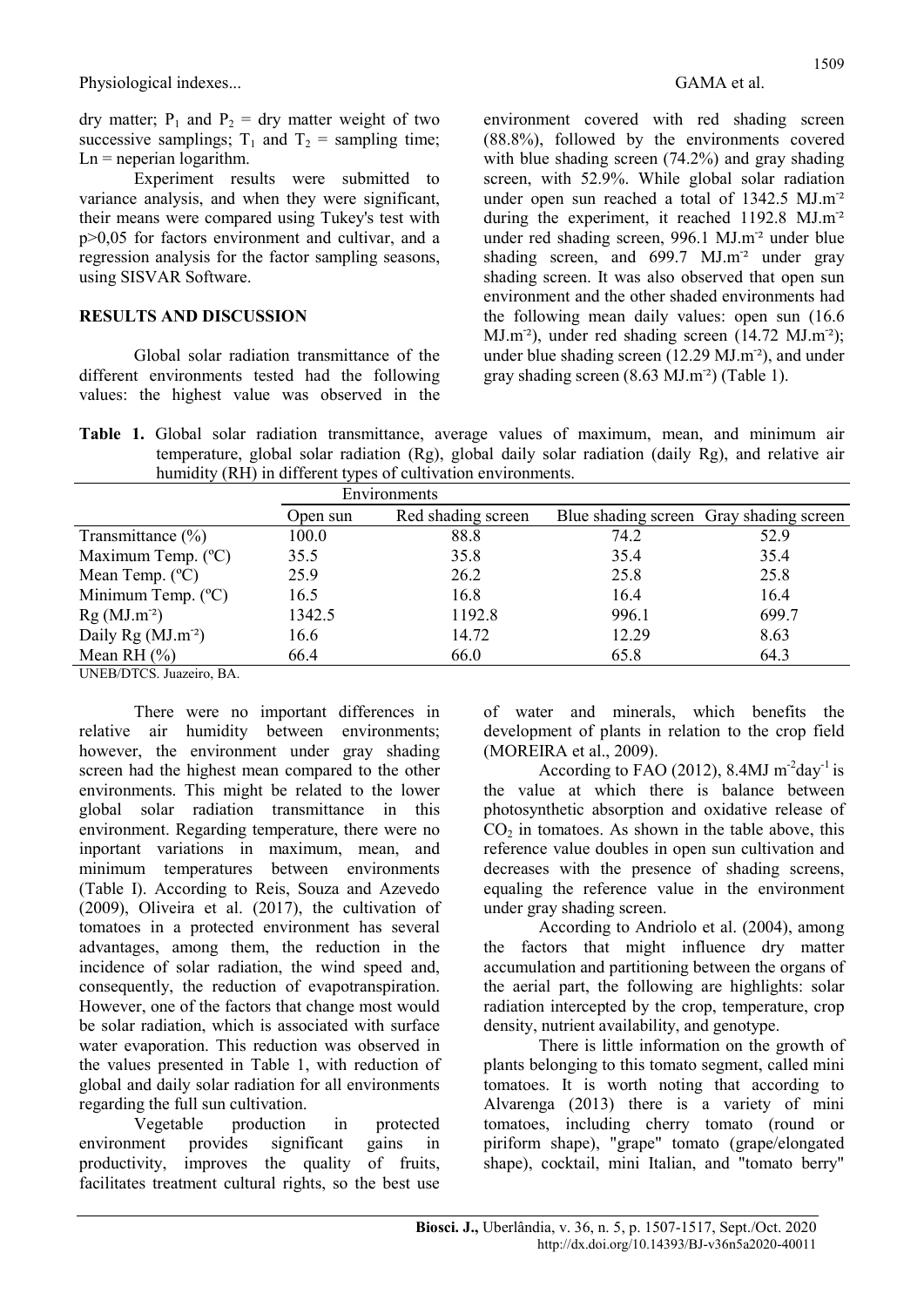dry matter;  $P_1$  and  $P_2$  = dry matter weight of two successive samplings;  $T_1$  and  $T_2$  = sampling time;  $Ln = n$  neperian logarithm.

Experiment results were submitted to variance analysis, and when they were significant, their means were compared using Tukey's test with p>0,05 for factors environment and cultivar, and a regression analysis for the factor sampling seasons, using SISVAR Software.

### RESULTS AND DISCUSSION

Global solar radiation transmittance of the different environments tested had the following values: the highest value was observed in the

environment covered with red shading screen (88.8%), followed by the environments covered with blue shading screen (74.2%) and gray shading screen, with 52.9%. While global solar radiation under open sun reached a total of 1342.5 MJ.m<sup>-2</sup> during the experiment, it reached 1192.8 MJ.m<sup>-2</sup> under red shading screen, 996.1 MJ.m<sup>-2</sup> under blue shading screen, and  $699.7$  MJ.m<sup>-2</sup> under gray shading screen. It was also observed that open sun environment and the other shaded environments had the following mean daily values: open sun (16.6 MJ.m<sup>-2</sup>), under red shading screen (14.72 MJ.m<sup>-2</sup>); under blue shading screen (12.29 MJ.m<sup>-2</sup>), and under gray shading screen (8.63 MJ.m<sup>-2</sup>) (Table 1).

Table 1. Global solar radiation transmittance, average values of maximum, mean, and minimum air temperature, global solar radiation (Rg), global daily solar radiation (daily Rg), and relative air humidity (RH) in different types of cultivation environments.

|                                         |          | Environments       |       |                                         |  |  |
|-----------------------------------------|----------|--------------------|-------|-----------------------------------------|--|--|
|                                         | Open sun | Red shading screen |       | Blue shading screen Gray shading screen |  |  |
| Transmittance $(\% )$                   | 100.0    | 88.8               | 74.2  | 52.9                                    |  |  |
| Maximum Temp. (°C)                      | 35.5     | 35.8               | 35.4  | 35.4                                    |  |  |
| Mean Temp. $(^{\circ}C)$                | 25.9     | 26.2               | 25.8  | 25.8                                    |  |  |
| Minimum Temp. $(^{\circ}C)$             | 16.5     | 16.8               | 16.4  | 16.4                                    |  |  |
| $Rg(MJ.m-2)$                            | 1342.5   | 1192.8             | 996.1 | 699.7                                   |  |  |
| Daily $\text{Rg}$ (MJ.m <sup>-2</sup> ) | 16.6     | 14.72              | 12.29 | 8.63                                    |  |  |
| Mean RH $(\%)$                          | 66.4     | 66.0               | 65.8  | 64.3                                    |  |  |

UNEB/DTCS. Juazeiro, BA.

There were no important differences in relative air humidity between environments; however, the environment under gray shading screen had the highest mean compared to the other environments. This might be related to the lower global solar radiation transmittance in this environment. Regarding temperature, there were no inportant variations in maximum, mean, and minimum temperatures between environments (Table I). According to Reis, Souza and Azevedo (2009), Oliveira et al. (2017), the cultivation of tomatoes in a protected environment has several advantages, among them, the reduction in the incidence of solar radiation, the wind speed and, consequently, the reduction of evapotranspiration. However, one of the factors that change most would be solar radiation, which is associated with surface water evaporation. This reduction was observed in the values presented in Table 1, with reduction of global and daily solar radiation for all environments regarding the full sun cultivation.

Vegetable production in protected environment provides significant productivity, improves the quality of fruits, facilitates treatment cultural rights, so the best use of water and minerals, which benefits the development of plants in relation to the crop field (MOREIRA et al., 2009).

According to FAO (2012), 8.4MJ  $m^2$ day<sup>-1</sup> is the value at which there is balance between photosynthetic absorption and oxidative release of  $CO<sub>2</sub>$  in tomatoes. As shown in the table above, this reference value doubles in open sun cultivation and decreases with the presence of shading screens, equaling the reference value in the environment under gray shading screen.

According to Andriolo et al. (2004), among the factors that might influence dry matter accumulation and partitioning between the organs of the aerial part, the following are highlights: solar radiation intercepted by the crop, temperature, crop density, nutrient availability, and genotype.

There is little information on the growth of plants belonging to this tomato segment, called mini tomatoes. It is worth noting that according to Alvarenga (2013) there is a variety of mini tomatoes, including cherry tomato (round or piriform shape), "grape" tomato (grape/elongated shape), cocktail, mini Italian, and "tomato berry"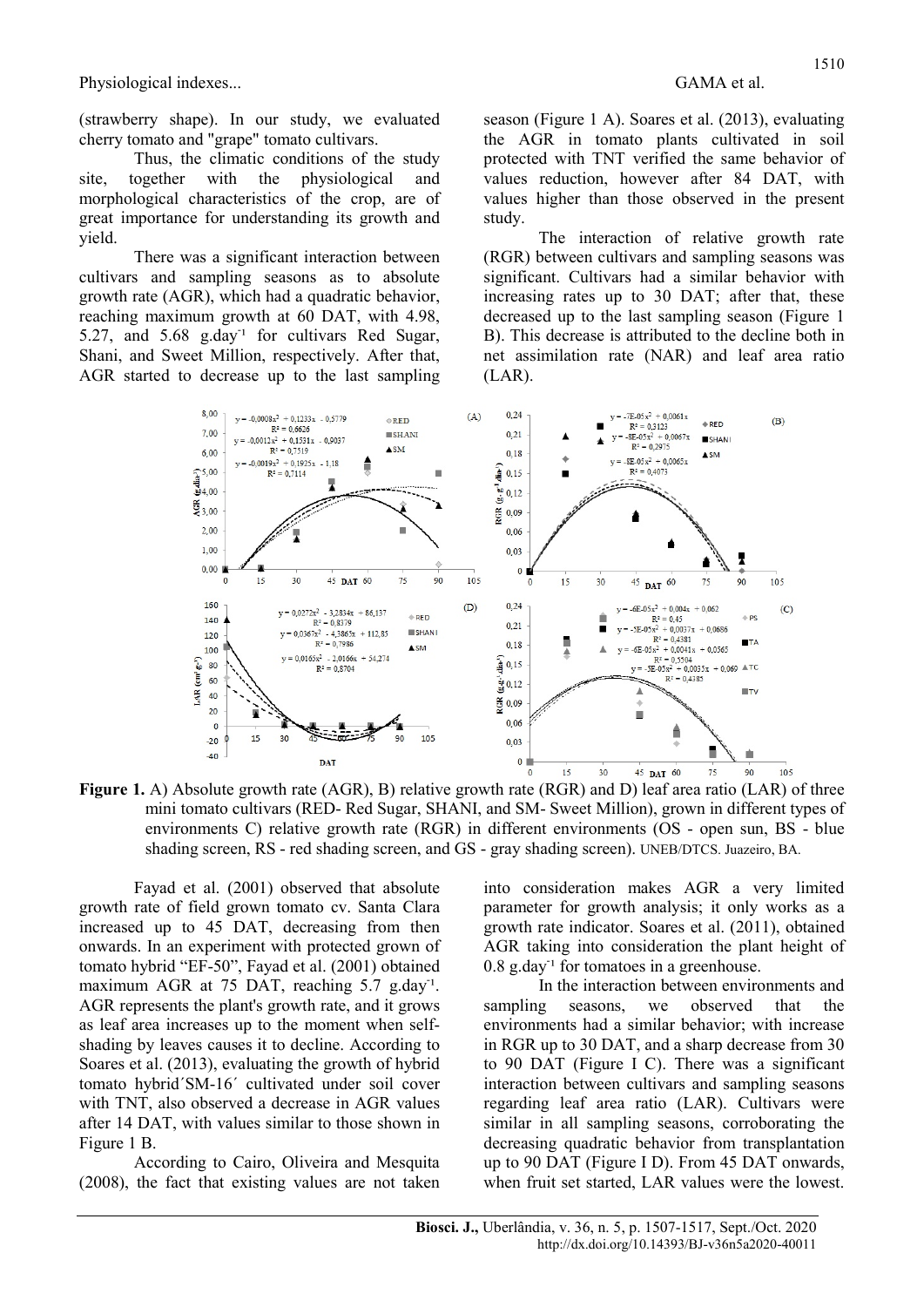(strawberry shape). In our study, we evaluated cherry tomato and "grape" tomato cultivars.

Thus, the climatic conditions of the study site, together with the physiological and morphological characteristics of the crop, are of great importance for understanding its growth and yield.

There was a significant interaction between cultivars and sampling seasons as to absolute growth rate (AGR), which had a quadratic behavior, reaching maximum growth at 60 DAT, with 4.98, 5.27, and 5.68 g.day<sup>1</sup> for cultivars Red Sugar, Shani, and Sweet Million, respectively. After that, AGR started to decrease up to the last sampling

season (Figure 1 A). Soares et al. (2013), evaluating the AGR in tomato plants cultivated in soil protected with TNT verified the same behavior of values reduction, however after 84 DAT, with values higher than those observed in the present study.

The interaction of relative growth rate (RGR) between cultivars and sampling seasons was significant. Cultivars had a similar behavior with increasing rates up to 30 DAT; after that, these decreased up to the last sampling season (Figure 1 B). This decrease is attributed to the decline both in net assimilation rate (NAR) and leaf area ratio (LAR).



Figure 1. A) Absolute growth rate (AGR), B) relative growth rate (RGR) and D) leaf area ratio (LAR) of three mini tomato cultivars (RED- Red Sugar, SHANI, and SM- Sweet Million), grown in different types of environments C) relative growth rate (RGR) in different environments (OS - open sun, BS - blue shading screen, RS - red shading screen, and GS - gray shading screen). UNEB/DTCS. Juazeiro, BA.

Fayad et al. (2001) observed that absolute growth rate of field grown tomato cv. Santa Clara increased up to 45 DAT, decreasing from then onwards. In an experiment with protected grown of tomato hybrid "EF-50", Fayad et al. (2001) obtained maximum AGR at 75 DAT, reaching 5.7 g.day<sup>1</sup>. AGR represents the plant's growth rate, and it grows as leaf area increases up to the moment when selfshading by leaves causes it to decline. According to Soares et al. (2013), evaluating the growth of hybrid tomato hybrid´SM-16´ cultivated under soil cover with TNT, also observed a decrease in AGR values after 14 DAT, with values similar to those shown in Figure 1 B.

According to Cairo, Oliveira and Mesquita (2008), the fact that existing values are not taken into consideration makes AGR a very limited parameter for growth analysis; it only works as a growth rate indicator. Soares et al. (2011), obtained AGR taking into consideration the plant height of  $0.8$  g.day<sup>-1</sup> for tomatoes in a greenhouse.

In the interaction between environments and sampling seasons, we observed that the environments had a similar behavior; with increase in RGR up to 30 DAT, and a sharp decrease from 30 to 90 DAT (Figure I C). There was a significant interaction between cultivars and sampling seasons regarding leaf area ratio (LAR). Cultivars were similar in all sampling seasons, corroborating the decreasing quadratic behavior from transplantation up to 90 DAT (Figure I D). From 45 DAT onwards, when fruit set started, LAR values were the lowest.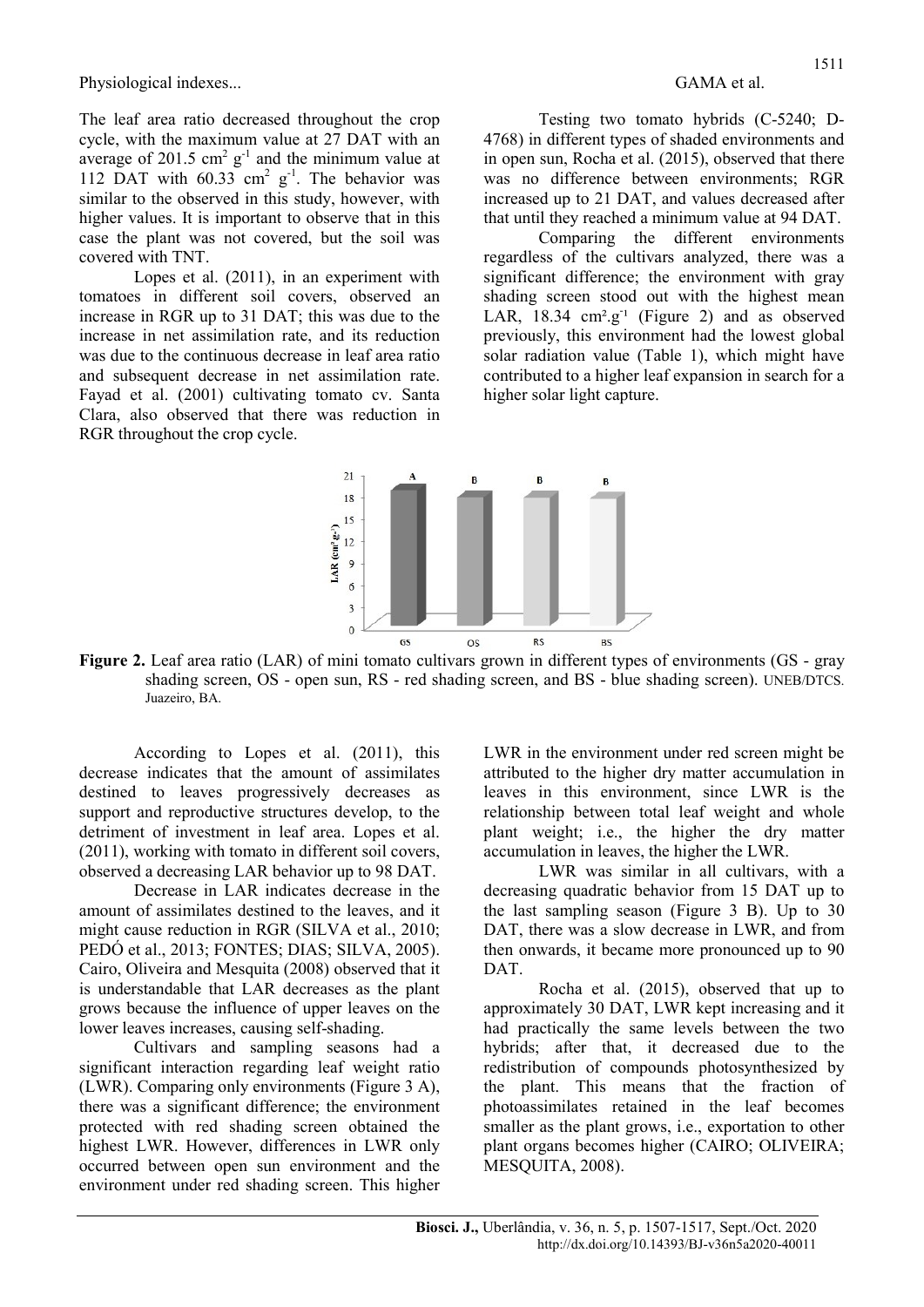The leaf area ratio decreased throughout the crop cycle, with the maximum value at 27 DAT with an average of 201.5  $\text{cm}^2$  g<sup>-1</sup> and the minimum value at 112 DAT with  $60.33$  cm<sup>2</sup> g<sup>-1</sup>. The behavior was similar to the observed in this study, however, with higher values. It is important to observe that in this case the plant was not covered, but the soil was covered with TNT.

Lopes et al. (2011), in an experiment with tomatoes in different soil covers, observed an increase in RGR up to 31 DAT; this was due to the increase in net assimilation rate, and its reduction was due to the continuous decrease in leaf area ratio and subsequent decrease in net assimilation rate. Fayad et al. (2001) cultivating tomato cv. Santa Clara, also observed that there was reduction in RGR throughout the crop cycle.

Testing two tomato hybrids (C-5240; D-4768) in different types of shaded environments and in open sun, Rocha et al. (2015), observed that there was no difference between environments; RGR increased up to 21 DAT, and values decreased after that until they reached a minimum value at 94 DAT.

Comparing the different environments regardless of the cultivars analyzed, there was a significant difference; the environment with gray shading screen stood out with the highest mean LAR,  $18.34 \, \text{cm}^2 \cdot \text{g}^{-1}$  (Figure 2) and as observed previously, this environment had the lowest global solar radiation value (Table 1), which might have contributed to a higher leaf expansion in search for a higher solar light capture.



Figure 2. Leaf area ratio (LAR) of mini tomato cultivars grown in different types of environments (GS - gray shading screen, OS - open sun, RS - red shading screen, and BS - blue shading screen). UNEB/DTCS. Juazeiro, BA.

According to Lopes et al. (2011), this decrease indicates that the amount of assimilates destined to leaves progressively decreases as support and reproductive structures develop, to the detriment of investment in leaf area. Lopes et al. (2011), working with tomato in different soil covers, observed a decreasing LAR behavior up to 98 DAT.

Decrease in LAR indicates decrease in the amount of assimilates destined to the leaves, and it might cause reduction in RGR (SILVA et al., 2010; PEDÓ et al., 2013; FONTES; DIAS; SILVA, 2005). Cairo, Oliveira and Mesquita (2008) observed that it is understandable that LAR decreases as the plant grows because the influence of upper leaves on the lower leaves increases, causing self-shading.

Cultivars and sampling seasons had a significant interaction regarding leaf weight ratio (LWR). Comparing only environments (Figure 3 A), there was a significant difference; the environment protected with red shading screen obtained the highest LWR. However, differences in LWR only occurred between open sun environment and the environment under red shading screen. This higher LWR in the environment under red screen might be attributed to the higher dry matter accumulation in leaves in this environment, since LWR is the relationship between total leaf weight and whole plant weight; i.e., the higher the dry matter accumulation in leaves, the higher the LWR.

LWR was similar in all cultivars, with a decreasing quadratic behavior from 15 DAT up to the last sampling season (Figure 3 B). Up to 30 DAT, there was a slow decrease in LWR, and from then onwards, it became more pronounced up to 90 DAT.

Rocha et al. (2015), observed that up to approximately 30 DAT, LWR kept increasing and it had practically the same levels between the two hybrids; after that, it decreased due to the redistribution of compounds photosynthesized by the plant. This means that the fraction of photoassimilates retained in the leaf becomes smaller as the plant grows, i.e., exportation to other plant organs becomes higher (CAIRO; OLIVEIRA; MESQUITA, 2008).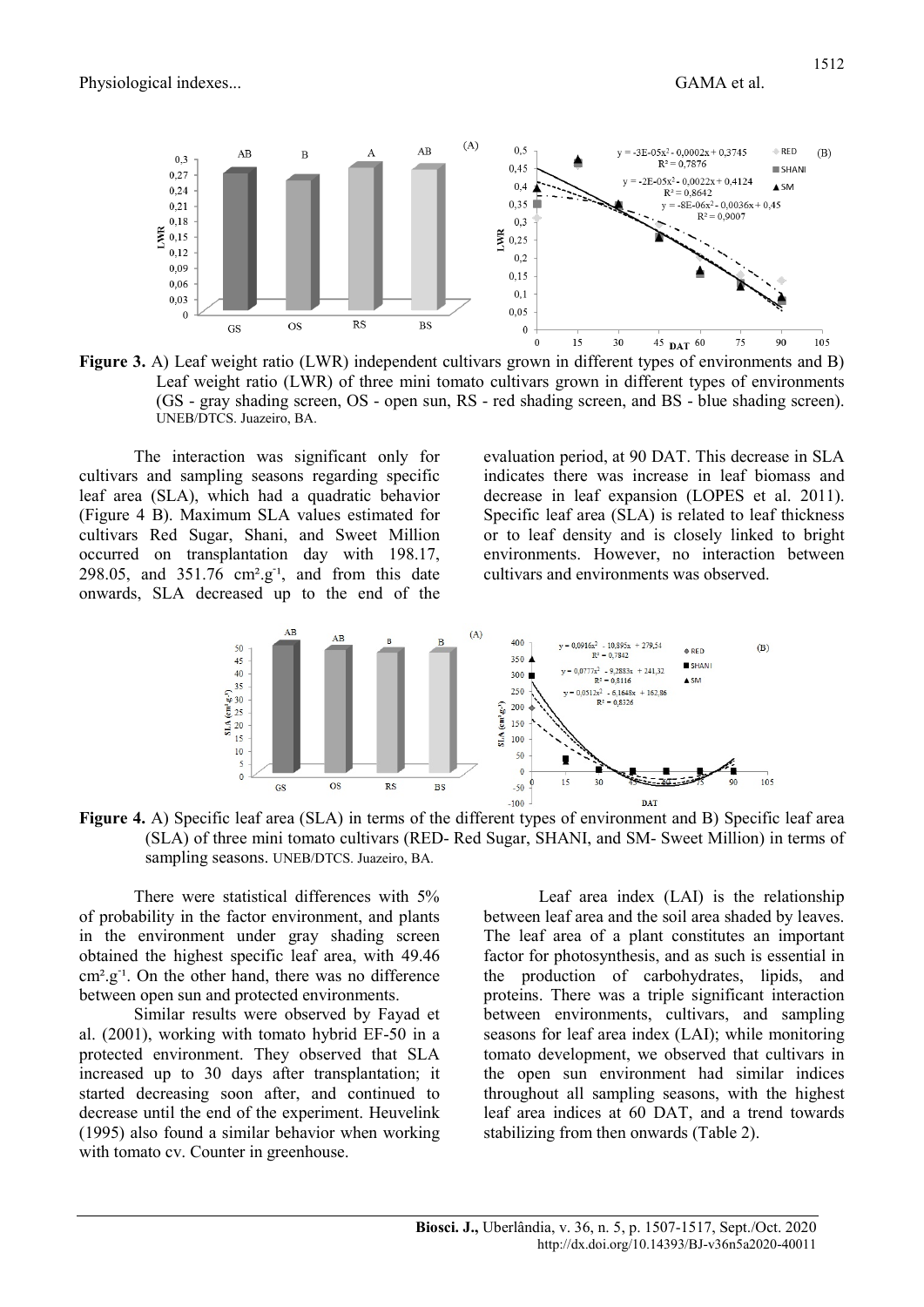

Figure 3. A) Leaf weight ratio (LWR) independent cultivars grown in different types of environments and B) Leaf weight ratio (LWR) of three mini tomato cultivars grown in different types of environments (GS - gray shading screen, OS - open sun, RS - red shading screen, and BS - blue shading screen). UNEB/DTCS. Juazeiro, BA.

The interaction was significant only for cultivars and sampling seasons regarding specific leaf area (SLA), which had a quadratic behavior (Figure 4 B). Maximum SLA values estimated for cultivars Red Sugar, Shani, and Sweet Million occurred on transplantation day with 198.17, 298.05, and  $351.76$  cm<sup>2</sup>.g<sup>-1</sup>, and from this date onwards, SLA decreased up to the end of the

evaluation period, at 90 DAT. This decrease in SLA indicates there was increase in leaf biomass and decrease in leaf expansion (LOPES et al. 2011). Specific leaf area (SLA) is related to leaf thickness or to leaf density and is closely linked to bright environments. However, no interaction between cultivars and environments was observed.



Figure 4. A) Specific leaf area (SLA) in terms of the different types of environment and B) Specific leaf area (SLA) of three mini tomato cultivars (RED- Red Sugar, SHANI, and SM- Sweet Million) in terms of sampling seasons. UNEB/DTCS. Juazeiro, BA.

There were statistical differences with 5% of probability in the factor environment, and plants in the environment under gray shading screen obtained the highest specific leaf area, with 49.46 cm<sup>2</sup>.g<sup>-1</sup>. On the other hand, there was no difference between open sun and protected environments.

Similar results were observed by Fayad et al. (2001), working with tomato hybrid EF-50 in a protected environment. They observed that SLA increased up to 30 days after transplantation; it started decreasing soon after, and continued to decrease until the end of the experiment. Heuvelink (1995) also found a similar behavior when working with tomato cv. Counter in greenhouse.

Leaf area index (LAI) is the relationship between leaf area and the soil area shaded by leaves. The leaf area of a plant constitutes an important factor for photosynthesis, and as such is essential in the production of carbohydrates, lipids, and proteins. There was a triple significant interaction between environments, cultivars, and sampling seasons for leaf area index (LAI); while monitoring tomato development, we observed that cultivars in the open sun environment had similar indices throughout all sampling seasons, with the highest leaf area indices at 60 DAT, and a trend towards stabilizing from then onwards (Table 2).

1512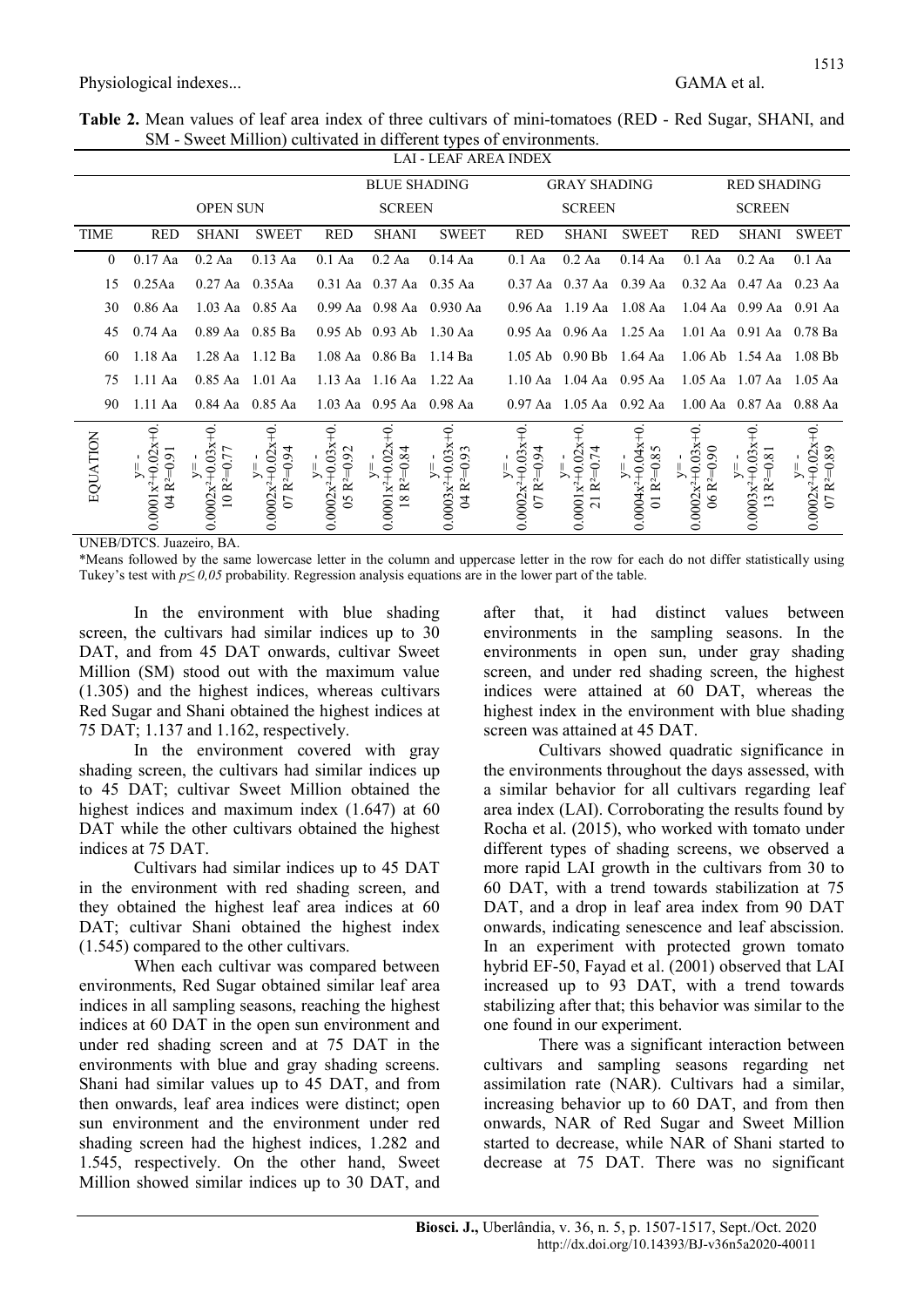Table 2. Mean values of leaf area index of three cultivars of mini-tomatoes (RED - Red Sugar, SHANI, and SM - Sweet Million) cultivated in different types of environments.

|                |                                                             |                                                                         |                                                        |                                                           |                                                                          | LAI - LEAF AREA INDEX                                     |                                                        |                                                          |                                                 |                                               |                                               |                                          |
|----------------|-------------------------------------------------------------|-------------------------------------------------------------------------|--------------------------------------------------------|-----------------------------------------------------------|--------------------------------------------------------------------------|-----------------------------------------------------------|--------------------------------------------------------|----------------------------------------------------------|-------------------------------------------------|-----------------------------------------------|-----------------------------------------------|------------------------------------------|
|                |                                                             |                                                                         |                                                        |                                                           | <b>BLUE SHADING</b>                                                      |                                                           |                                                        | <b>GRAY SHADING</b>                                      |                                                 | <b>RED SHADING</b>                            |                                               |                                          |
|                | <b>OPEN SUN</b>                                             |                                                                         |                                                        | <b>SCREEN</b>                                             |                                                                          |                                                           | <b>SCREEN</b>                                          |                                                          | <b>SCREEN</b>                                   |                                               |                                               |                                          |
| TIME           | <b>RED</b>                                                  | SHANI                                                                   | <b>SWEET</b>                                           | <b>RED</b>                                                | <b>SHANI</b>                                                             | <b>SWEET</b>                                              | <b>RED</b>                                             | SHANI                                                    | SWEET                                           | <b>RED</b>                                    |                                               | SHANI SWEET                              |
| $\overline{0}$ | $0.17$ Aa                                                   | $0.2$ Aa                                                                | $0.13$ Aa                                              | $0.1$ Aa                                                  | $0.2$ Aa                                                                 | $0.14$ Aa                                                 | $0.1$ Aa                                               | 0.2 Aa                                                   | $0.14$ Aa                                       | $0.1$ Aa                                      | $0.2$ Aa                                      | $0.1$ Aa                                 |
| 15             | $0.25$ Aa                                                   | $0.27$ Aa $0.35$ Aa                                                     |                                                        |                                                           | $0.31$ Aa $0.37$ Aa $0.35$ Aa                                            |                                                           |                                                        | 0.37 Aa 0.37 Aa 0.39 Aa                                  |                                                 |                                               | $0.32$ Aa $0.47$ Aa $0.23$ Aa                 |                                          |
| 30             | $0.86$ Aa                                                   |                                                                         | 1.03 Aa 0.85 Aa                                        |                                                           |                                                                          | 0.99 Aa 0.98 Aa 0.930 Aa                                  |                                                        | 0.96 Aa 1.19 Aa 1.08 Aa                                  |                                                 |                                               | 1.04 Aa 0.99 Aa 0.91 Aa                       |                                          |
| 45             | $0.74$ Aa                                                   |                                                                         | $0.89$ Aa $0.85$ Ba                                    |                                                           | 0.95 Ab 0.93 Ab 1.30 Aa                                                  |                                                           |                                                        | $0.95$ Aa $0.96$ Aa $1.25$ Aa                            |                                                 |                                               | 1.01 Aa 0.91 Aa 0.78 Ba                       |                                          |
| 60             | $1.18$ Aa                                                   | 1.28 Aa 1.12 Ba                                                         |                                                        |                                                           | $1.08$ Aa $0.86$ Ba $1.14$ Ba                                            |                                                           |                                                        | 1.05 Ab 0.90 Bb 1.64 Aa                                  |                                                 |                                               | 1.06 Ab 1.54 Aa 1.08 Bb                       |                                          |
| 75             | $1.11$ Aa                                                   |                                                                         | $0.85$ Aa $1.01$ Aa                                    |                                                           | 1.13 Aa 1.16 Aa 1.22 Aa                                                  |                                                           |                                                        | 1.10 Aa $1.04$ Aa $0.95$ Aa                              |                                                 |                                               | 1.05 Aa 1.07 Aa 1.05 Aa                       |                                          |
| 90             | 1.11 Aa                                                     |                                                                         | 0.84 Aa 0.85 Aa                                        |                                                           | 1.03 Aa 0.95 Aa 0.98 Aa                                                  |                                                           |                                                        | 0.97 Aa 1.05 Aa 0.92 Aa                                  |                                                 |                                               | 1.00 Aa 0.87 Aa 0.88 Aa                       |                                          |
| EQUATION       | $\widetilde{+}$<br>$0.0001x^{2+}0.02x$<br>$04 R2=0.91$<br>少 | $\widetilde{+}$<br>$y=-$<br>0.0002x <sup>2+</sup> 0.03x<br>$10 R2=0.77$ | $y=-$<br>0.0002x <sup>2+</sup> 0.02x+0<br>$07 R2=0.94$ | $y=-$<br>0.0002x <sup>2+</sup> 0.03x+0<br>$05 R^{2=0.92}$ | $\widetilde{+}$<br>$0.0001x^{2+}0.02x$<br>$18 \text{ R}^{2} = 0.84$<br>少 | $y=-$<br>0.0003x <sup>2+</sup> 0.03x+0<br>04 $R^{2}=0.93$ | $0.0002x^{2+}0.03x^{+}0$<br>$07 R2=0.94$<br>$\searrow$ | Ŧ<br>$0.0001x^{2+}0.02x$<br>21 R <sup>2</sup> =0.74<br>≻ | $0.0004x^2 + 0.04x + 0$<br>01 $R^{2}=0.85$<br>⅀ | ₽<br>$0.0002x^{2+}0.03x$<br>$06 R2=0.90$<br>≻ | Ŧ<br>$0.0003x^{2}+0.03x$<br>$13 R2=0.81$<br>⅀ | $0.0002x^2+0.02x+0$<br>$07 R2=0.89$<br>⅀ |

UNEB/DTCS. Juazeiro, BA.

\*Means followed by the same lowercase letter in the column and uppercase letter in the row for each do not differ statistically using Tukey's test with  $p \le 0.05$  probability. Regression analysis equations are in the lower part of the table.

In the environment with blue shading screen, the cultivars had similar indices up to 30 DAT, and from 45 DAT onwards, cultivar Sweet Million (SM) stood out with the maximum value (1.305) and the highest indices, whereas cultivars Red Sugar and Shani obtained the highest indices at 75 DAT; 1.137 and 1.162, respectively.

In the environment covered with gray shading screen, the cultivars had similar indices up to 45 DAT; cultivar Sweet Million obtained the highest indices and maximum index (1.647) at 60 DAT while the other cultivars obtained the highest indices at 75 DAT.

Cultivars had similar indices up to 45 DAT in the environment with red shading screen, and they obtained the highest leaf area indices at 60 DAT; cultivar Shani obtained the highest index (1.545) compared to the other cultivars.

When each cultivar was compared between environments, Red Sugar obtained similar leaf area indices in all sampling seasons, reaching the highest indices at 60 DAT in the open sun environment and under red shading screen and at 75 DAT in the environments with blue and gray shading screens. Shani had similar values up to 45 DAT, and from then onwards, leaf area indices were distinct; open sun environment and the environment under red shading screen had the highest indices, 1.282 and 1.545, respectively. On the other hand, Sweet Million showed similar indices up to 30 DAT, and after that, it had distinct values between environments in the sampling seasons. In the environments in open sun, under gray shading screen, and under red shading screen, the highest indices were attained at 60 DAT, whereas the highest index in the environment with blue shading screen was attained at 45 DAT.

Cultivars showed quadratic significance in the environments throughout the days assessed, with a similar behavior for all cultivars regarding leaf area index (LAI). Corroborating the results found by Rocha et al. (2015), who worked with tomato under different types of shading screens, we observed a more rapid LAI growth in the cultivars from 30 to 60 DAT, with a trend towards stabilization at 75 DAT, and a drop in leaf area index from 90 DAT onwards, indicating senescence and leaf abscission. In an experiment with protected grown tomato hybrid EF-50, Fayad et al. (2001) observed that LAI increased up to 93 DAT, with a trend towards stabilizing after that; this behavior was similar to the one found in our experiment.

There was a significant interaction between cultivars and sampling seasons regarding net assimilation rate (NAR). Cultivars had a similar, increasing behavior up to 60 DAT, and from then onwards, NAR of Red Sugar and Sweet Million started to decrease, while NAR of Shani started to decrease at 75 DAT. There was no significant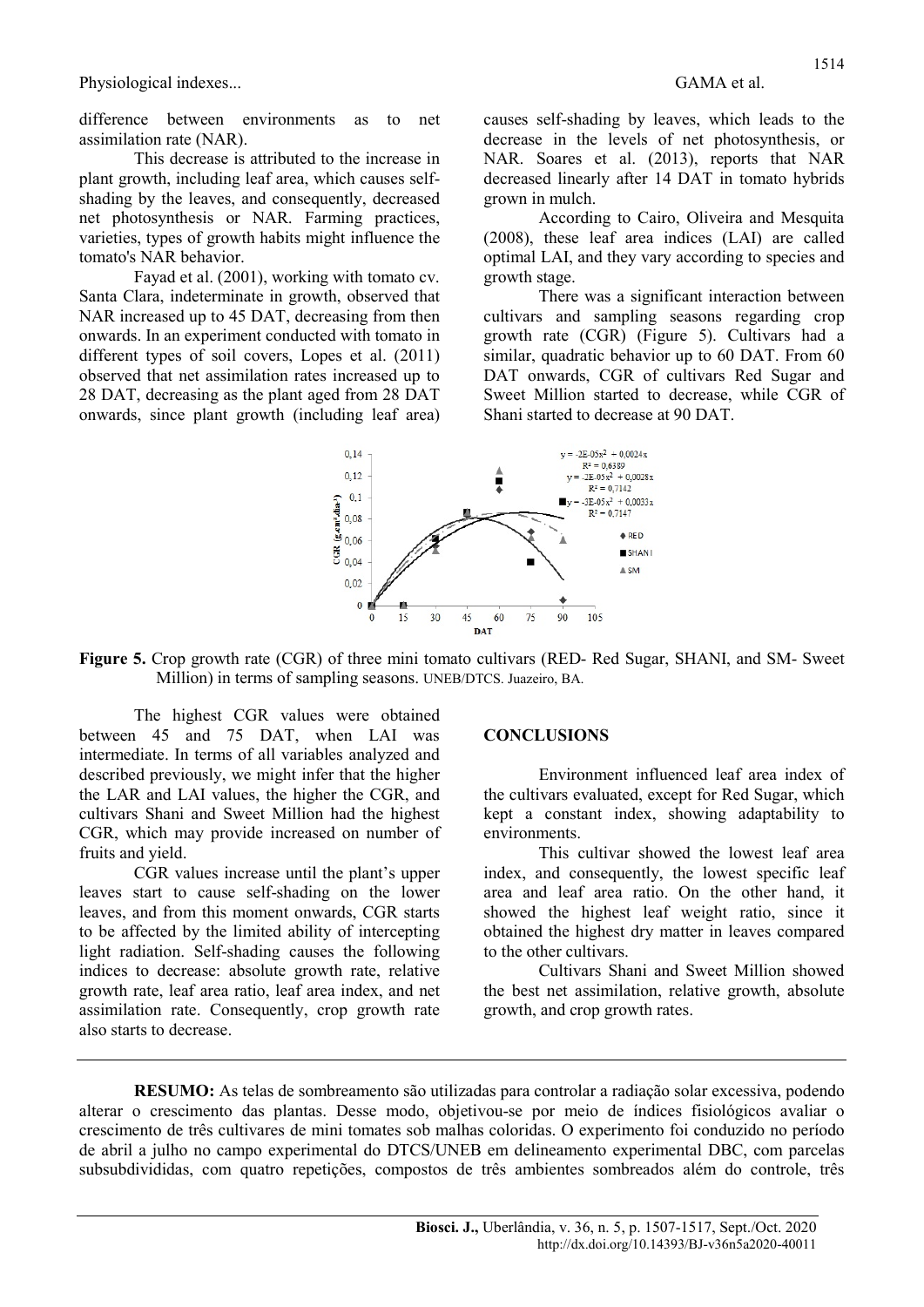difference between environments as to net assimilation rate (NAR).

This decrease is attributed to the increase in plant growth, including leaf area, which causes selfshading by the leaves, and consequently, decreased net photosynthesis or NAR. Farming practices, varieties, types of growth habits might influence the tomato's NAR behavior.

Fayad et al. (2001), working with tomato cv. Santa Clara, indeterminate in growth, observed that NAR increased up to 45 DAT, decreasing from then onwards. In an experiment conducted with tomato in different types of soil covers, Lopes et al. (2011) observed that net assimilation rates increased up to 28 DAT, decreasing as the plant aged from 28 DAT onwards, since plant growth (including leaf area) causes self-shading by leaves, which leads to the decrease in the levels of net photosynthesis, or NAR. Soares et al. (2013), reports that NAR decreased linearly after 14 DAT in tomato hybrids grown in mulch.

According to Cairo, Oliveira and Mesquita (2008), these leaf area indices (LAI) are called optimal LAI, and they vary according to species and growth stage.

There was a significant interaction between cultivars and sampling seasons regarding crop growth rate (CGR) (Figure 5). Cultivars had a similar, quadratic behavior up to 60 DAT. From 60 DAT onwards, CGR of cultivars Red Sugar and Sweet Million started to decrease, while CGR of Shani started to decrease at 90 DAT.



Figure 5. Crop growth rate (CGR) of three mini tomato cultivars (RED- Red Sugar, SHANI, and SM- Sweet Million) in terms of sampling seasons. UNEB/DTCS. Juazeiro, BA.

The highest CGR values were obtained between 45 and 75 DAT, when LAI was intermediate. In terms of all variables analyzed and described previously, we might infer that the higher the LAR and LAI values, the higher the CGR, and cultivars Shani and Sweet Million had the highest CGR, which may provide increased on number of fruits and yield.

CGR values increase until the plant's upper leaves start to cause self-shading on the lower leaves, and from this moment onwards, CGR starts to be affected by the limited ability of intercepting light radiation. Self-shading causes the following indices to decrease: absolute growth rate, relative growth rate, leaf area ratio, leaf area index, and net assimilation rate. Consequently, crop growth rate also starts to decrease.

#### **CONCLUSIONS**

Environment influenced leaf area index of the cultivars evaluated, except for Red Sugar, which kept a constant index, showing adaptability to environments.

This cultivar showed the lowest leaf area index, and consequently, the lowest specific leaf area and leaf area ratio. On the other hand, it showed the highest leaf weight ratio, since it obtained the highest dry matter in leaves compared to the other cultivars.

Cultivars Shani and Sweet Million showed the best net assimilation, relative growth, absolute growth, and crop growth rates.

RESUMO: As telas de sombreamento são utilizadas para controlar a radiação solar excessiva, podendo alterar o crescimento das plantas. Desse modo, objetivou-se por meio de índices fisiológicos avaliar o crescimento de três cultivares de mini tomates sob malhas coloridas. O experimento foi conduzido no período de abril a julho no campo experimental do DTCS/UNEB em delineamento experimental DBC, com parcelas subsubdivididas, com quatro repetições, compostos de três ambientes sombreados além do controle, três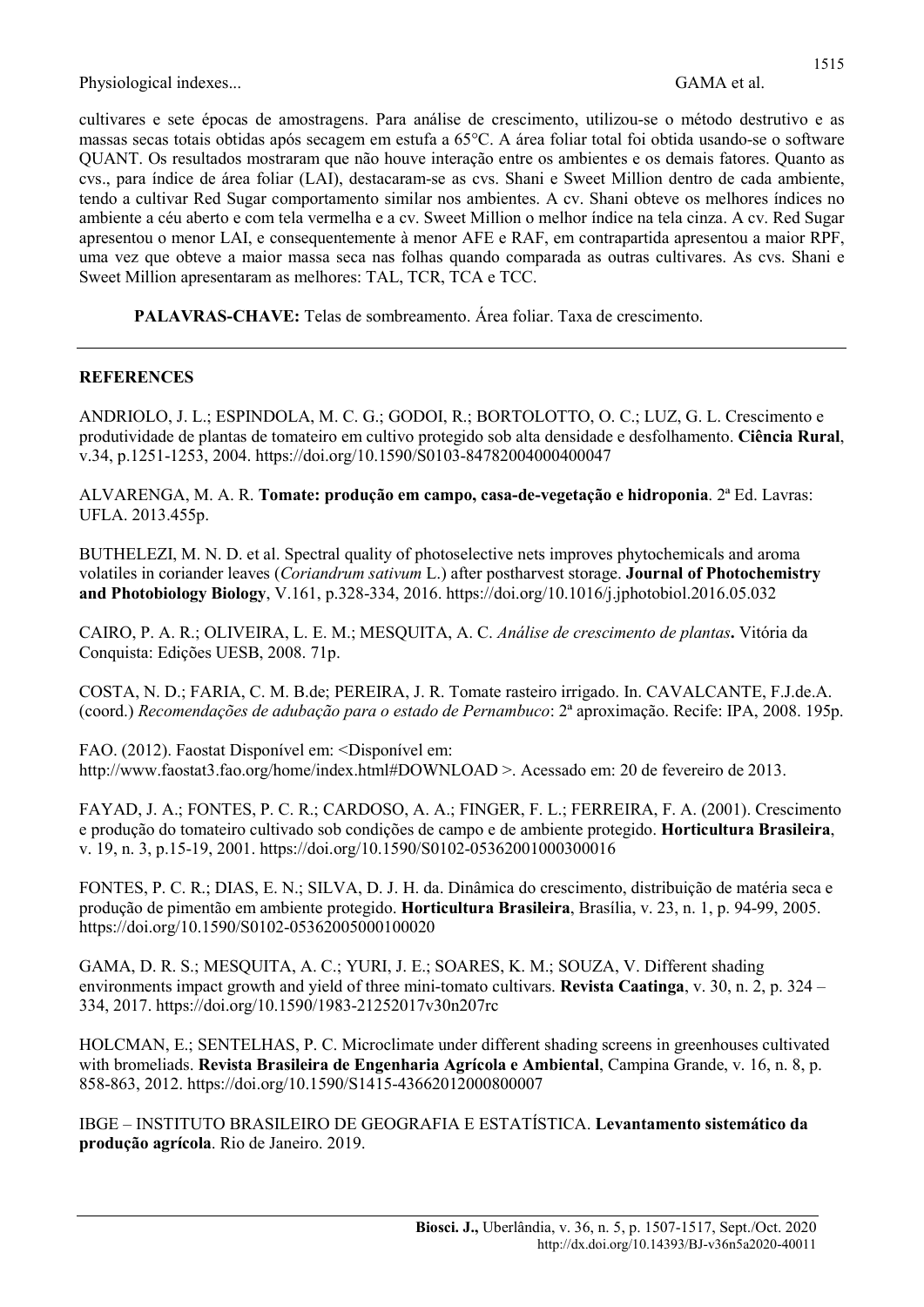cultivares e sete épocas de amostragens. Para análise de crescimento, utilizou-se o método destrutivo e as massas secas totais obtidas após secagem em estufa a 65°C. A área foliar total foi obtida usando-se o software QUANT. Os resultados mostraram que não houve interação entre os ambientes e os demais fatores. Quanto as cvs., para índice de área foliar (LAI), destacaram-se as cvs. Shani e Sweet Million dentro de cada ambiente, tendo a cultivar Red Sugar comportamento similar nos ambientes. A cv. Shani obteve os melhores índices no ambiente a céu aberto e com tela vermelha e a cv. Sweet Million o melhor índice na tela cinza. A cv. Red Sugar apresentou o menor LAI, e consequentemente à menor AFE e RAF, em contrapartida apresentou a maior RPF, uma vez que obteve a maior massa seca nas folhas quando comparada as outras cultivares. As cvs. Shani e Sweet Million apresentaram as melhores: TAL, TCR, TCA e TCC.

PALAVRAS-CHAVE: Telas de sombreamento. Área foliar. Taxa de crescimento.

### **REFERENCES**

ANDRIOLO, J. L.; ESPINDOLA, M. C. G.; GODOI, R.; BORTOLOTTO, O. C.; LUZ, G. L. Crescimento e produtividade de plantas de tomateiro em cultivo protegido sob alta densidade e desfolhamento. Ciência Rural, v.34, p.1251-1253, 2004. https://doi.org/10.1590/S0103-84782004000400047

ALVARENGA, M. A. R. Tomate: produção em campo, casa-de-vegetação e hidroponia. 2ª Ed. Lavras: UFLA. 2013.455p.

BUTHELEZI, M. N. D. et al. Spectral quality of photoselective nets improves phytochemicals and aroma volatiles in coriander leaves (Coriandrum sativum L.) after postharvest storage. Journal of Photochemistry and Photobiology Biology, V.161, p.328-334, 2016. https://doi.org/10.1016/j.jphotobiol.2016.05.032

CAIRO, P. A. R.; OLIVEIRA, L. E. M.; MESQUITA, A. C. Análise de crescimento de plantas. Vitória da Conquista: Edições UESB, 2008. 71p.

COSTA, N. D.; FARIA, C. M. B.de; PEREIRA, J. R. Tomate rasteiro irrigado. In. CAVALCANTE, F.J.de.A. (coord.) Recomendações de adubação para o estado de Pernambuco: 2ª aproximação. Recife: IPA, 2008. 195p.

FAO. (2012). Faostat Disponível em: <Disponível em: http://www.faostat3.fao.org/home/index.html#DOWNLOAD >. Acessado em: 20 de fevereiro de 2013.

FAYAD, J. A.; FONTES, P. C. R.; CARDOSO, A. A.; FINGER, F. L.; FERREIRA, F. A. (2001). Crescimento e produção do tomateiro cultivado sob condições de campo e de ambiente protegido. Horticultura Brasileira, v. 19, n. 3, p.15-19, 2001. https://doi.org/10.1590/S0102-05362001000300016

FONTES, P. C. R.; DIAS, E. N.; SILVA, D. J. H. da. Dinâmica do crescimento, distribuição de matéria seca e produção de pimentão em ambiente protegido. Horticultura Brasileira, Brasília, v. 23, n. 1, p. 94-99, 2005. https://doi.org/10.1590/S0102-05362005000100020

GAMA, D. R. S.; MESQUITA, A. C.; YURI, J. E.; SOARES, K. M.; SOUZA, V. Different shading environments impact growth and yield of three mini-tomato cultivars. Revista Caatinga, v. 30, n. 2, p. 324 – 334, 2017. https://doi.org/10.1590/1983-21252017v30n207rc

HOLCMAN, E.; SENTELHAS, P. C. Microclimate under different shading screens in greenhouses cultivated with bromeliads. Revista Brasileira de Engenharia Agrícola e Ambiental, Campina Grande, v. 16, n. 8, p. 858-863, 2012. https://doi.org/10.1590/S1415-43662012000800007

IBGE – INSTITUTO BRASILEIRO DE GEOGRAFIA E ESTATÍSTICA. Levantamento sistemático da produção agrícola. Rio de Janeiro. 2019.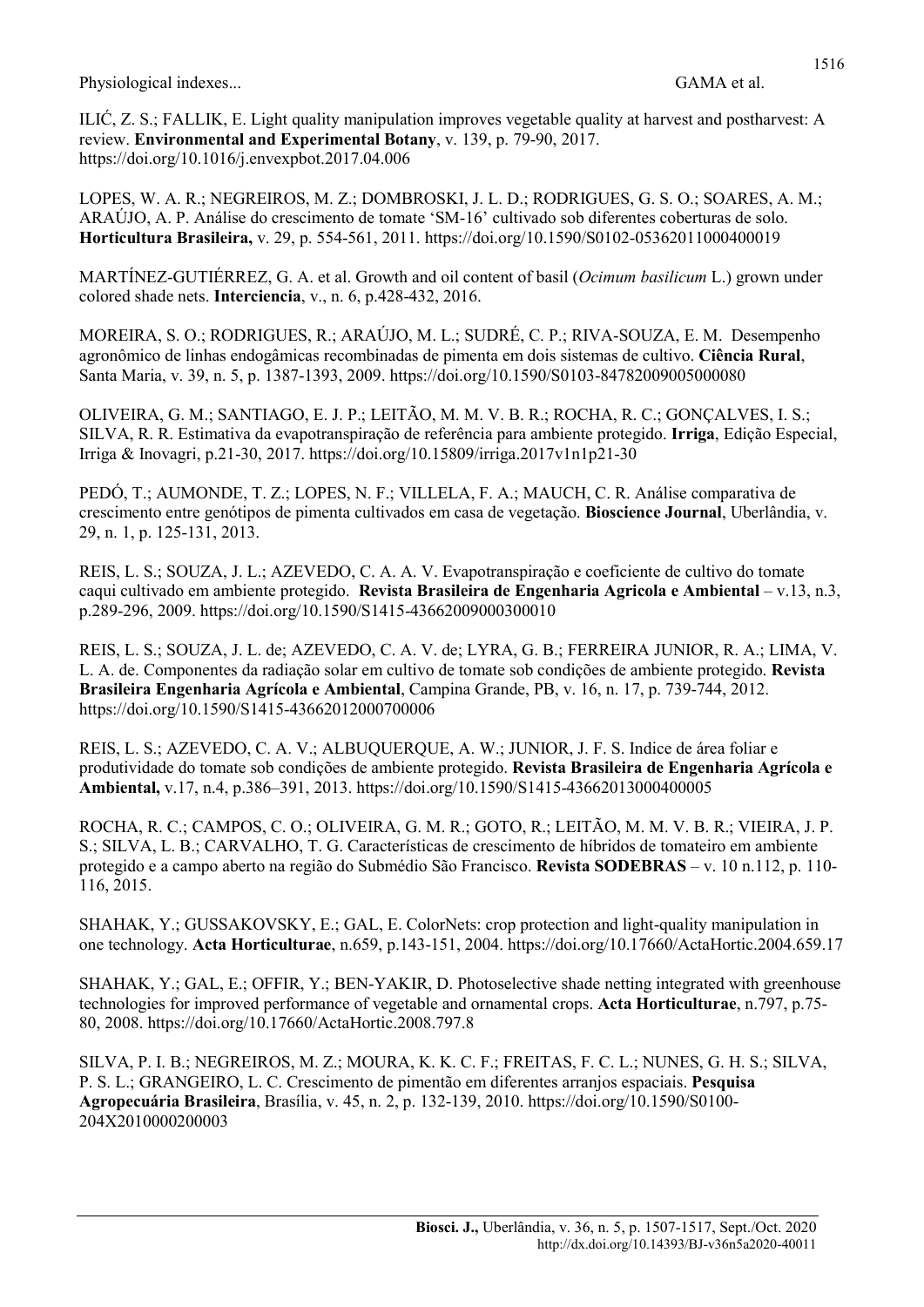ILIĆ, Z. S.; FALLIK, E. Light quality manipulation improves vegetable quality at harvest and postharvest: A review. Environmental and Experimental Botany, v. 139, p. 79-90, 2017. https://doi.org/10.1016/j.envexpbot.2017.04.006

LOPES, W. A. R.; NEGREIROS, M. Z.; DOMBROSKI, J. L. D.; RODRIGUES, G. S. O.; SOARES, A. M.; ARAÚJO, A. P. Análise do crescimento de tomate 'SM-16' cultivado sob diferentes coberturas de solo. Horticultura Brasileira, v. 29, p. 554-561, 2011. https://doi.org/10.1590/S0102-05362011000400019

MARTÍNEZ-GUTIÉRREZ, G. A. et al. Growth and oil content of basil (Ocimum basilicum L.) grown under colored shade nets. Interciencia, v., n. 6, p.428-432, 2016.

MOREIRA, S. O.; RODRIGUES, R.; ARAÚJO, M. L.; SUDRÉ, C. P.; RIVA-SOUZA, E. M. Desempenho agronômico de linhas endogâmicas recombinadas de pimenta em dois sistemas de cultivo. Ciência Rural, Santa Maria, v. 39, n. 5, p. 1387-1393, 2009. https://doi.org/10.1590/S0103-84782009005000080

OLIVEIRA, G. M.; SANTIAGO, E. J. P.; LEITÃO, M. M. V. B. R.; ROCHA, R. C.; GONÇALVES, I. S.; SILVA, R. R. Estimativa da evapotranspiração de referência para ambiente protegido. Irriga, Edição Especial, Irriga & Inovagri, p.21-30, 2017. https://doi.org/10.15809/irriga.2017v1n1p21-30

PEDÓ, T.; AUMONDE, T. Z.; LOPES, N. F.; VILLELA, F. A.; MAUCH, C. R. Análise comparativa de crescimento entre genótipos de pimenta cultivados em casa de vegetação. Bioscience Journal, Uberlândia, v. 29, n. 1, p. 125-131, 2013.

REIS, L. S.; SOUZA, J. L.; AZEVEDO, C. A. A. V. Evapotranspiração e coeficiente de cultivo do tomate caqui cultivado em ambiente protegido. Revista Brasileira de Engenharia Agricola e Ambiental – v.13, n.3, p.289-296, 2009. https://doi.org/10.1590/S1415-43662009000300010

REIS, L. S.; SOUZA, J. L. de; AZEVEDO, C. A. V. de; LYRA, G. B.; FERREIRA JUNIOR, R. A.; LIMA, V. L. A. de. Componentes da radiação solar em cultivo de tomate sob condições de ambiente protegido. Revista Brasileira Engenharia Agrícola e Ambiental, Campina Grande, PB, v. 16, n. 17, p. 739-744, 2012. https://doi.org/10.1590/S1415-43662012000700006

REIS, L. S.; AZEVEDO, C. A. V.; ALBUQUERQUE, A. W.; JUNIOR, J. F. S. Indice de área foliar e produtividade do tomate sob condições de ambiente protegido. Revista Brasileira de Engenharia Agrícola e Ambiental, v.17, n.4, p.386–391, 2013. https://doi.org/10.1590/S1415-43662013000400005

ROCHA, R. C.; CAMPOS, C. O.; OLIVEIRA, G. M. R.; GOTO, R.; LEITÃO, M. M. V. B. R.; VIEIRA, J. P. S.; SILVA, L. B.; CARVALHO, T. G. Características de crescimento de híbridos de tomateiro em ambiente protegido e a campo aberto na região do Submédio São Francisco. Revista SODEBRAS – v. 10 n.112, p. 110- 116, 2015.

SHAHAK, Y.; GUSSAKOVSKY, E.; GAL, E. ColorNets: crop protection and light-quality manipulation in one technology. Acta Horticulturae, n.659, p.143-151, 2004. https://doi.org/10.17660/ActaHortic.2004.659.17

SHAHAK, Y.; GAL, E.; OFFIR, Y.; BEN-YAKIR, D. Photoselective shade netting integrated with greenhouse technologies for improved performance of vegetable and ornamental crops. Acta Horticulturae, n.797, p.75- 80, 2008. https://doi.org/10.17660/ActaHortic.2008.797.8

SILVA, P. I. B.; NEGREIROS, M. Z.; MOURA, K. K. C. F.; FREITAS, F. C. L.; NUNES, G. H. S.; SILVA, P. S. L.; GRANGEIRO, L. C. Crescimento de pimentão em diferentes arranjos espaciais. Pesquisa Agropecuária Brasileira, Brasília, v. 45, n. 2, p. 132-139, 2010. https://doi.org/10.1590/S0100- 204X2010000200003